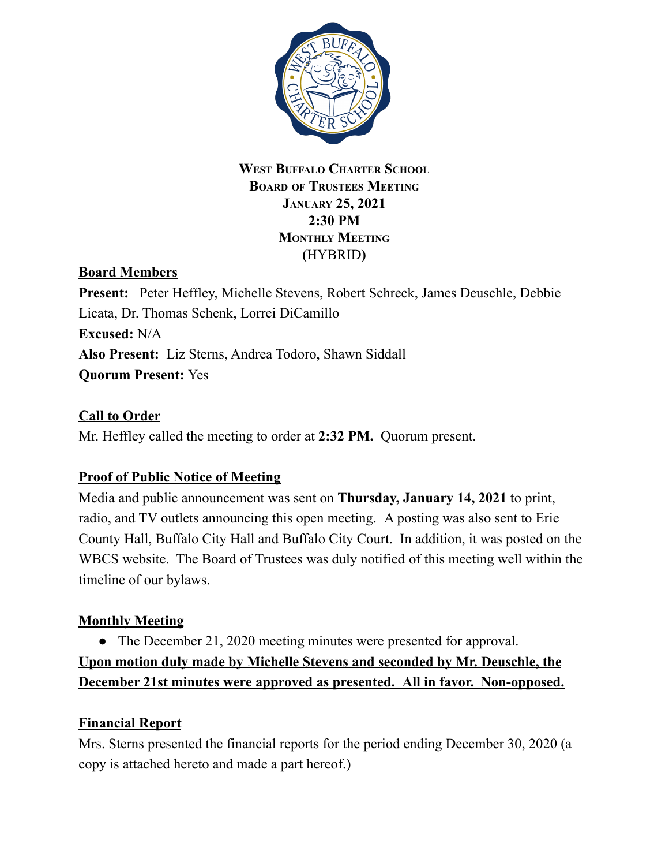

#### **WEST BUFFALO CHARTER SCHOOL BOARD OF TRUSTEES MEETING JANUARY 25, 2021 2:30 PM MONTHLY MEETING (**HYBRID**)**

## **Board Members**

**Present:** Peter Heffley, Michelle Stevens, Robert Schreck, James Deuschle, Debbie Licata, Dr. Thomas Schenk, Lorrei DiCamillo **Excused:** N/A **Also Present:** Liz Sterns, Andrea Todoro, Shawn Siddall **Quorum Present:** Yes

### **Call to Order**

Mr. Heffley called the meeting to order at **2:32 PM.** Quorum present.

#### **Proof of Public Notice of Meeting**

Media and public announcement was sent on **Thursday, January 14, 2021** to print, radio, and TV outlets announcing this open meeting. A posting was also sent to Erie County Hall, Buffalo City Hall and Buffalo City Court. In addition, it was posted on the WBCS website. The Board of Trustees was duly notified of this meeting well within the timeline of our bylaws.

#### **Monthly Meeting**

• The December 21, 2020 meeting minutes were presented for approval.

**Upon motion duly made by Michelle Stevens and seconded by Mr. Deuschle, the December 21st minutes were approved as presented. All in favor. Non-opposed.**

#### **Financial Report**

Mrs. Sterns presented the financial reports for the period ending December 30, 2020 (a copy is attached hereto and made a part hereof.)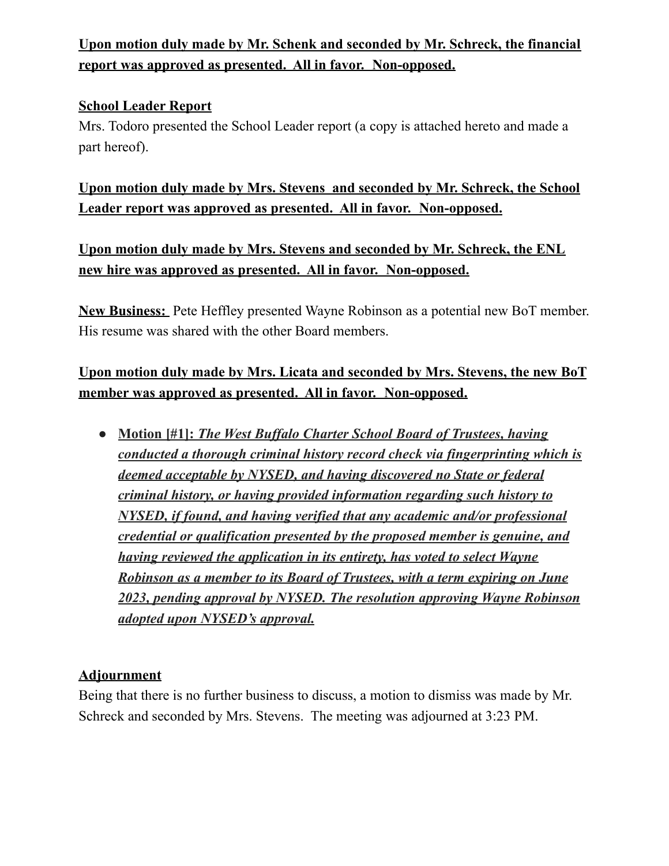# **Upon motion duly made by Mr. Schenk and seconded by Mr. Schreck, the financial report was approved as presented. All in favor. Non-opposed.**

### **School Leader Report**

Mrs. Todoro presented the School Leader report (a copy is attached hereto and made a part hereof).

**Upon motion duly made by Mrs. Stevens and seconded by Mr. Schreck, the School Leader report was approved as presented. All in favor. Non-opposed.**

**Upon motion duly made by Mrs. Stevens and seconded by Mr. Schreck, the ENL new hire was approved as presented. All in favor. Non-opposed.**

**New Business:** Pete Heffley presented Wayne Robinson as a potential new BoT member. His resume was shared with the other Board members.

# **Upon motion duly made by Mrs. Licata and seconded by Mrs. Stevens, the new BoT member was approved as presented. All in favor. Non-opposed.**

**● Motion [#1]:** *The West Buf alo Charter School Board of Trustees, having conducted a thorough criminal history record check via fingerprinting which is deemed acceptable by NYSED, and having discovered no State or federal criminal history, or having provided information regarding such history to NYSED, if found, and having verified that any academic and/or professional credential or qualification presented by the proposed member is genuine, and having reviewed the application in its entirety, has voted to select Wayne Robinson as a member to its Board of Trustees, with a term expiring on June 2023, pending approval by NYSED. The resolution approving Wayne Robinson adopted upon NYSED's approval.*

#### **Adjournment**

Being that there is no further business to discuss, a motion to dismiss was made by Mr. Schreck and seconded by Mrs. Stevens. The meeting was adjourned at 3:23 PM.